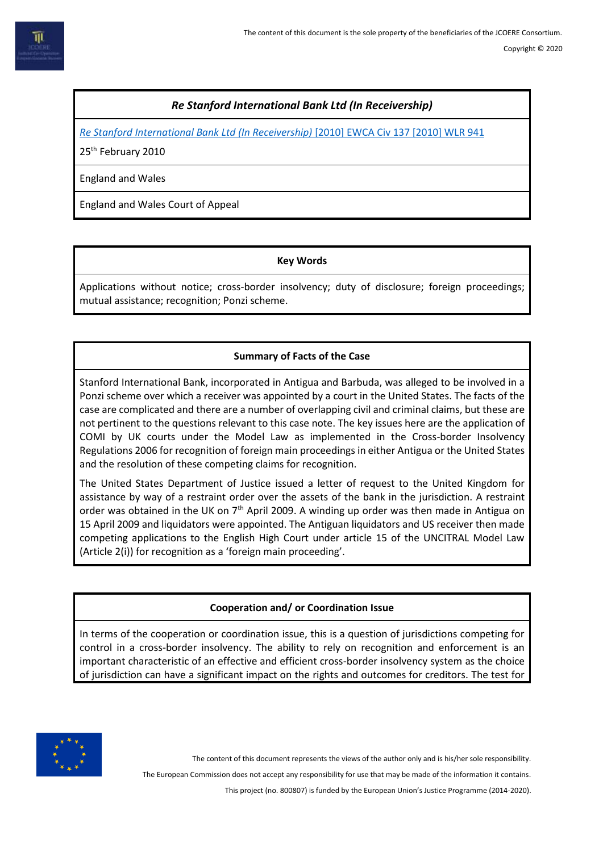# *Re Stanford International Bank Ltd (In Receivership)*

*[Re Stanford International Bank Ltd \(In Receivership\)](https://www.bailii.org/ew/cases/EWCA/Civ/2010/137.html)* [2010] EWCA Civ 137 [2010] WLR 941

25<sup>th</sup> February 2010

England and Wales

England and Wales Court of Appeal

## **Key Words**

Applications without notice; cross-border insolvency; duty of disclosure; foreign proceedings; mutual assistance; recognition; Ponzi scheme.

## **Summary of Facts of the Case**

Stanford International Bank, incorporated in Antigua and Barbuda, was alleged to be involved in a Ponzi scheme over which a receiver was appointed by a court in the United States. The facts of the case are complicated and there are a number of overlapping civil and criminal claims, but these are not pertinent to the questions relevant to this case note. The key issues here are the application of COMI by UK courts under the Model Law as implemented in the Cross-border Insolvency Regulations 2006 for recognition of foreign main proceedings in either Antigua or the United States and the resolution of these competing claims for recognition.

The United States Department of Justice issued a letter of request to the United Kingdom for assistance by way of a restraint order over the assets of the bank in the jurisdiction. A restraint order was obtained in the UK on 7<sup>th</sup> April 2009. A winding up order was then made in Antigua on 15 April 2009 and liquidators were appointed. The Antiguan liquidators and US receiver then made competing applications to the English High Court under article 15 of the UNCITRAL Model Law (Article 2(i)) for recognition as a 'foreign main proceeding'.

## **Cooperation and/ or Coordination Issue**

In terms of the cooperation or coordination issue, this is a question of jurisdictions competing for control in a cross-border insolvency. The ability to rely on recognition and enforcement is an important characteristic of an effective and efficient cross-border insolvency system as the choice of jurisdiction can have a significant impact on the rights and outcomes for creditors. The test for



The content of this document represents the views of the author only and is his/her sole responsibility.

The European Commission does not accept any responsibility for use that may be made of the information it contains.

This project (no. 800807) is funded by the European Union's Justice Programme (2014-2020).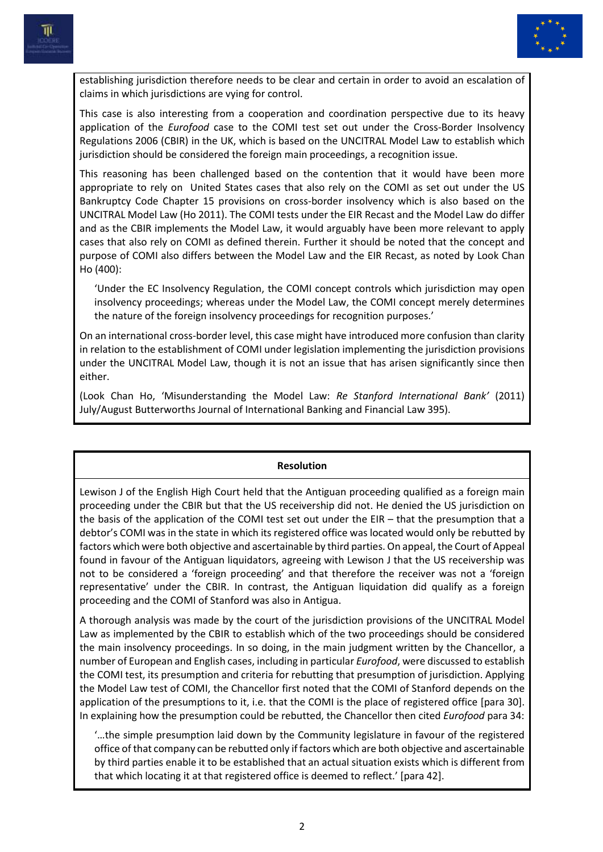



establishing jurisdiction therefore needs to be clear and certain in order to avoid an escalation of claims in which jurisdictions are vying for control.

This case is also interesting from a cooperation and coordination perspective due to its heavy application of the *Eurofood* case to the COMI test set out under the Cross-Border Insolvency Regulations 2006 (CBIR) in the UK, which is based on the UNCITRAL Model Law to establish which jurisdiction should be considered the foreign main proceedings, a recognition issue.

This reasoning has been challenged based on the contention that it would have been more appropriate to rely on United States cases that also rely on the COMI as set out under the US Bankruptcy Code Chapter 15 provisions on cross-border insolvency which is also based on the UNCITRAL Model Law (Ho 2011). The COMI tests under the EIR Recast and the Model Law do differ and as the CBIR implements the Model Law, it would arguably have been more relevant to apply cases that also rely on COMI as defined therein. Further it should be noted that the concept and purpose of COMI also differs between the Model Law and the EIR Recast, as noted by Look Chan Ho (400):

'Under the EC Insolvency Regulation, the COMI concept controls which jurisdiction may open insolvency proceedings; whereas under the Model Law, the COMI concept merely determines the nature of the foreign insolvency proceedings for recognition purposes.'

On an international cross-border level, this case might have introduced more confusion than clarity in relation to the establishment of COMI under legislation implementing the jurisdiction provisions under the UNCITRAL Model Law, though it is not an issue that has arisen significantly since then either.

(Look Chan Ho, 'Misunderstanding the Model Law: *Re Stanford International Bank'* (2011) July/August Butterworths Journal of International Banking and Financial Law 395).

#### **Resolution**

Lewison J of the English High Court held that the Antiguan proceeding qualified as a foreign main proceeding under the CBIR but that the US receivership did not. He denied the US jurisdiction on the basis of the application of the COMI test set out under the EIR – that the presumption that a debtor's COMI was in the state in which its registered office was located would only be rebutted by factors which were both objective and ascertainable by third parties. On appeal, the Court of Appeal found in favour of the Antiguan liquidators, agreeing with Lewison J that the US receivership was not to be considered a 'foreign proceeding' and that therefore the receiver was not a 'foreign representative' under the CBIR. In contrast, the Antiguan liquidation did qualify as a foreign proceeding and the COMI of Stanford was also in Antigua.

A thorough analysis was made by the court of the jurisdiction provisions of the UNCITRAL Model Law as implemented by the CBIR to establish which of the two proceedings should be considered the main insolvency proceedings. In so doing, in the main judgment written by the Chancellor, a number of European and English cases, including in particular *Eurofood*, were discussed to establish the COMI test, its presumption and criteria for rebutting that presumption of jurisdiction. Applying the Model Law test of COMI, the Chancellor first noted that the COMI of Stanford depends on the application of the presumptions to it, i.e. that the COMI is the place of registered office [para 30]. In explaining how the presumption could be rebutted, the Chancellor then cited *Eurofood* para 34:

'…the simple presumption laid down by the Community legislature in favour of the registered office of that company can be rebutted only if factors which are both objective and ascertainable by third parties enable it to be established that an actual situation exists which is different from that which locating it at that registered office is deemed to reflect.' [para 42].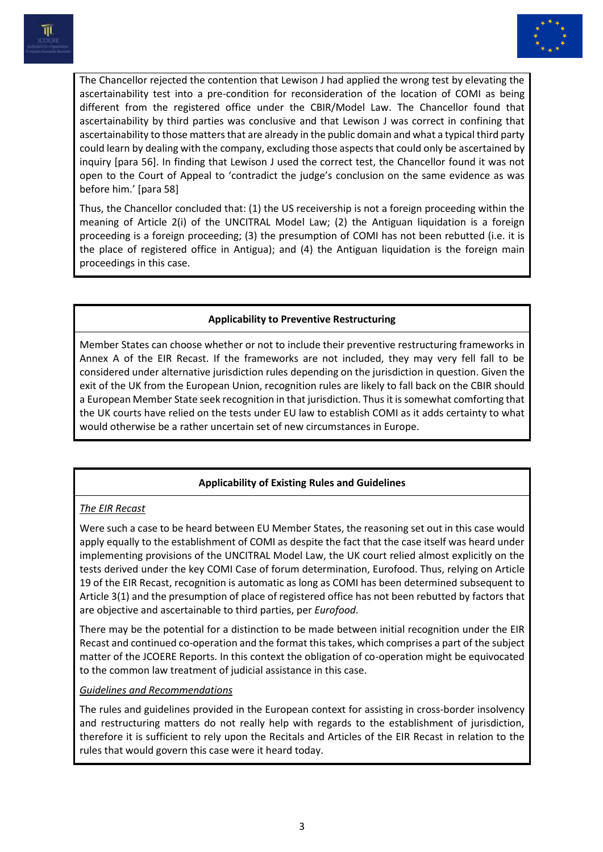



The Chancellor rejected the contention that Lewison J had applied the wrong test by elevating the ascertainability test into a pre-condition for reconsideration of the location of COMI as being different from the registered office under the CBIR/Model Law. The Chancellor found that ascertainability by third parties was conclusive and that Lewison J was correct in confining that ascertainability to those matters that are already in the public domain and what a typical third party could learn by dealing with the company, excluding those aspects that could only be ascertained by inquiry [para 56]. In finding that Lewison J used the correct test, the Chancellor found it was not open to the Court of Appeal to 'contradict the judge's conclusion on the same evidence as was before him.' [para 58]

Thus, the Chancellor concluded that: (1) the US receivership is not a foreign proceeding within the meaning of Article 2(i) of the UNCITRAL Model Law; (2) the Antiguan liquidation is a foreign proceeding is a foreign proceeding; (3) the presumption of COMI has not been rebutted (i.e. it is the place of registered office in Antigua); and (4) the Antiguan liquidation is the foreign main proceedings in this case.

#### **Applicability to Preventive Restructuring**

Member States can choose whether or not to include their preventive restructuring frameworks in Annex A of the EIR Recast. If the frameworks are not included, they may very fell fall to be considered under alternative jurisdiction rules depending on the jurisdiction in question. Given the exit of the UK from the European Union, recognition rules are likely to fall back on the CBIR should a European Member State seek recognition in that jurisdiction. Thus it is somewhat comforting that the UK courts have relied on the tests under EU law to establish COMI as it adds certainty to what would otherwise be a rather uncertain set of new circumstances in Europe.

## **Applicability of Existing Rules and Guidelines**

## *The EIR Recast*

Were such a case to be heard between EU Member States, the reasoning set out in this case would apply equally to the establishment of COMI as despite the fact that the case itself was heard under implementing provisions of the UNCITRAL Model Law, the UK court relied almost explicitly on the tests derived under the key COMI Case of forum determination, Eurofood. Thus, relying on Article 19 of the EIR Recast, recognition is automatic as long as COMI has been determined subsequent to Article 3(1) and the presumption of place of registered office has not been rebutted by factors that are objective and ascertainable to third parties, per *Eurofood*.

There may be the potential for a distinction to be made between initial recognition under the EIR Recast and continued co-operation and the format this takes, which comprises a part of the subject matter of the JCOERE Reports. In this context the obligation of co-operation might be equivocated to the common law treatment of judicial assistance in this case.

## *Guidelines and Recommendations*

The rules and guidelines provided in the European context for assisting in cross-border insolvency and restructuring matters do not really help with regards to the establishment of jurisdiction, therefore it is sufficient to rely upon the Recitals and Articles of the EIR Recast in relation to the rules that would govern this case were it heard today.